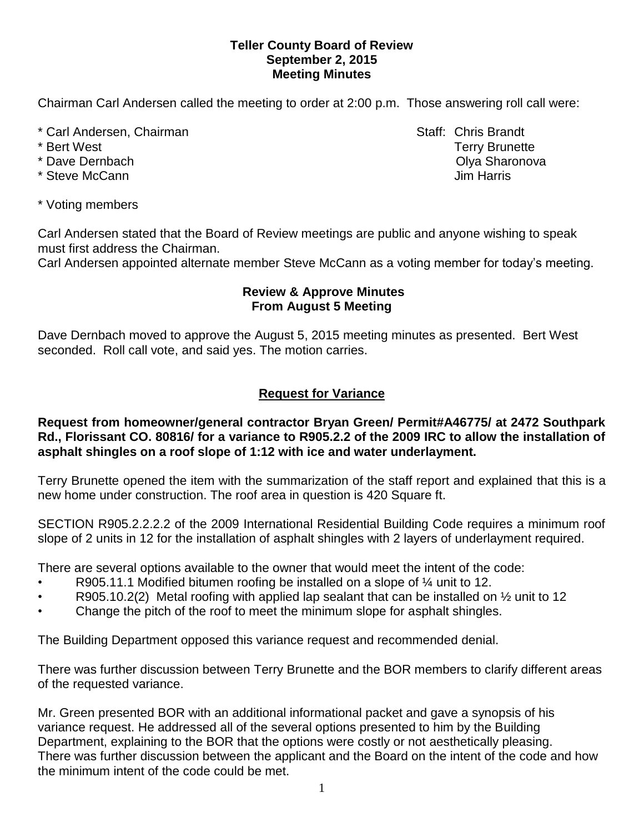#### **Teller County Board of Review September 2, 2015 Meeting Minutes**

Chairman Carl Andersen called the meeting to order at 2:00 p.m. Those answering roll call were:

- \* Carl Andersen, Chairman Staff: Chris Brandt
- 
- 
- \* Steve McCann **Jim Harris**
- \* Voting members

Carl Andersen stated that the Board of Review meetings are public and anyone wishing to speak must first address the Chairman.

Carl Andersen appointed alternate member Steve McCann as a voting member for today's meeting.

### **Review & Approve Minutes From August 5 Meeting**

Dave Dernbach moved to approve the August 5, 2015 meeting minutes as presented. Bert West seconded.Roll call vote, and said yes. The motion carries.

# **Request for Variance**

#### **Request from homeowner/general contractor Bryan Green/ Permit#A46775/ at 2472 Southpark Rd., Florissant CO. 80816/ for a variance to R905.2.2 of the 2009 IRC to allow the installation of asphalt shingles on a roof slope of 1:12 with ice and water underlayment.**

Terry Brunette opened the item with the summarization of the staff report and explained that this is a new home under construction. The roof area in question is 420 Square ft.

SECTION R905.2.2.2.2 of the 2009 International Residential Building Code requires a minimum roof slope of 2 units in 12 for the installation of asphalt shingles with 2 layers of underlayment required.

There are several options available to the owner that would meet the intent of the code:

- R905.11.1 Modified bitumen roofing be installed on a slope of  $\frac{1}{4}$  unit to 12.
- R905.10.2(2) Metal roofing with applied lap sealant that can be installed on  $\frac{1}{2}$  unit to 12
- Change the pitch of the roof to meet the minimum slope for asphalt shingles.

The Building Department opposed this variance request and recommended denial.

There was further discussion between Terry Brunette and the BOR members to clarify different areas of the requested variance.

Mr. Green presented BOR with an additional informational packet and gave a synopsis of his variance request. He addressed all of the several options presented to him by the Building Department, explaining to the BOR that the options were costly or not aesthetically pleasing. There was further discussion between the applicant and the Board on the intent of the code and how the minimum intent of the code could be met.

\* Bert West Terry Brunette \* Dave Dernbach **Olya Sharonova Community** Community Community Community Community Community Community Community Community Community Community Community Community Community Community Community Community Community Communi